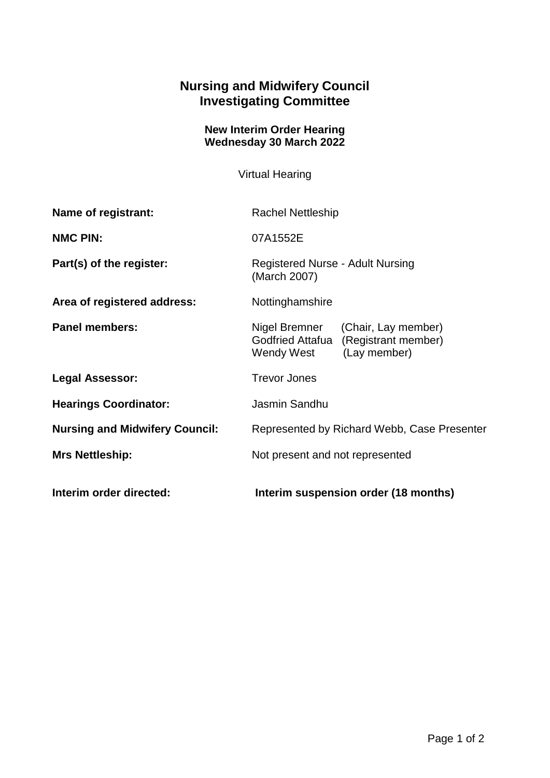## **Nursing and Midwifery Council Investigating Committee**

## **New Interim Order Hearing Wednesday 30 March 2022**

Virtual Hearing

| <b>Name of registrant:</b>            | <b>Rachel Nettleship</b>                                                                                             |
|---------------------------------------|----------------------------------------------------------------------------------------------------------------------|
| <b>NMC PIN:</b>                       | 07A1552E                                                                                                             |
| Part(s) of the register:              | Registered Nurse - Adult Nursing<br>(March 2007)                                                                     |
| Area of registered address:           | Nottinghamshire                                                                                                      |
| <b>Panel members:</b>                 | Nigel Bremner<br>(Chair, Lay member)<br><b>Godfried Attafua</b><br>(Registrant member)<br>Wendy West<br>(Lay member) |
| Legal Assessor:                       | <b>Trevor Jones</b>                                                                                                  |
| <b>Hearings Coordinator:</b>          | Jasmin Sandhu                                                                                                        |
| <b>Nursing and Midwifery Council:</b> | Represented by Richard Webb, Case Presenter                                                                          |
| <b>Mrs Nettleship:</b>                | Not present and not represented                                                                                      |
| Interim order directed:               | Interim suspension order (18 months)                                                                                 |